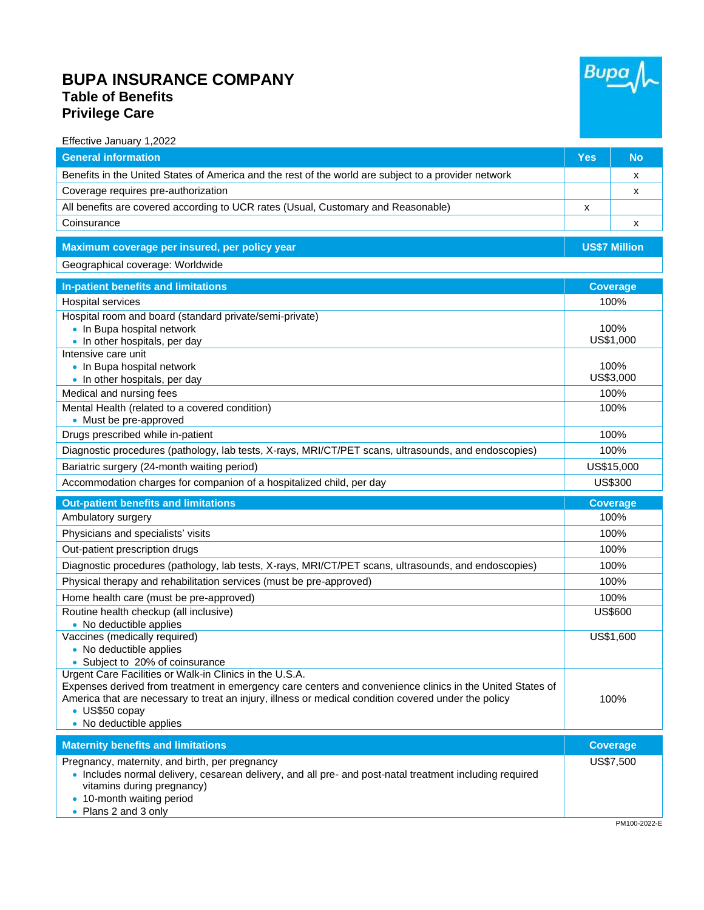## **BUPA INSURANCE COMPANY Table of Benefits Privilege Care**



| <b>General information</b>                                                                                |                      |                 |
|-----------------------------------------------------------------------------------------------------------|----------------------|-----------------|
|                                                                                                           | <b>Yes</b>           | <b>No</b>       |
| Benefits in the United States of America and the rest of the world are subject to a provider network      |                      | x               |
| Coverage requires pre-authorization                                                                       |                      | x               |
| All benefits are covered according to UCR rates (Usual, Customary and Reasonable)                         | х                    |                 |
| Coinsurance                                                                                               |                      | x               |
|                                                                                                           | <b>US\$7 Million</b> |                 |
| Maximum coverage per insured, per policy year                                                             |                      |                 |
| Geographical coverage: Worldwide                                                                          |                      |                 |
| In-patient benefits and limitations                                                                       | <b>Coverage</b>      |                 |
| Hospital services                                                                                         |                      | 100%            |
| Hospital room and board (standard private/semi-private)                                                   |                      |                 |
| • In Bupa hospital network                                                                                | 100%<br>US\$1,000    |                 |
| . In other hospitals, per day<br>Intensive care unit                                                      |                      |                 |
| • In Bupa hospital network                                                                                | 100%                 |                 |
| • In other hospitals, per day                                                                             | US\$3,000            |                 |
| Medical and nursing fees                                                                                  |                      | 100%            |
| Mental Health (related to a covered condition)                                                            | 100%                 |                 |
| • Must be pre-approved                                                                                    |                      |                 |
| Drugs prescribed while in-patient                                                                         | 100%                 |                 |
| Diagnostic procedures (pathology, lab tests, X-rays, MRI/CT/PET scans, ultrasounds, and endoscopies)      | 100%                 |                 |
| Bariatric surgery (24-month waiting period)                                                               | US\$15,000           |                 |
| Accommodation charges for companion of a hospitalized child, per day                                      | US\$300              |                 |
| <b>Out-patient benefits and limitations</b>                                                               |                      | <b>Coverage</b> |
| Ambulatory surgery                                                                                        |                      |                 |
|                                                                                                           |                      | 100%            |
| Physicians and specialists' visits                                                                        |                      | 100%            |
| Out-patient prescription drugs                                                                            |                      | 100%            |
| Diagnostic procedures (pathology, lab tests, X-rays, MRI/CT/PET scans, ultrasounds, and endoscopies)      |                      | 100%            |
| Physical therapy and rehabilitation services (must be pre-approved)                                       |                      | 100%            |
| Home health care (must be pre-approved)                                                                   |                      | 100%            |
| Routine health checkup (all inclusive)                                                                    |                      | <b>US\$600</b>  |
| • No deductible applies                                                                                   |                      |                 |
| Vaccines (medically required)                                                                             |                      | US\$1,600       |
| • No deductible applies                                                                                   |                      |                 |
| • Subject to 20% of coinsurance<br>Urgent Care Facilities or Walk-in Clinics in the U.S.A.                |                      |                 |
| Expenses derived from treatment in emergency care centers and convenience clinics in the United States of |                      |                 |
| America that are necessary to treat an injury, illness or medical condition covered under the policy      |                      | 100%            |
| • US\$50 copay                                                                                            |                      |                 |
| • No deductible applies                                                                                   |                      |                 |
| <b>Maternity benefits and limitations</b>                                                                 |                      | <b>Coverage</b> |
| Pregnancy, maternity, and birth, per pregnancy                                                            |                      | US\$7,500       |
| · Includes normal delivery, cesarean delivery, and all pre- and post-natal treatment including required   |                      |                 |
| vitamins during pregnancy)<br>• 10-month waiting period                                                   |                      |                 |